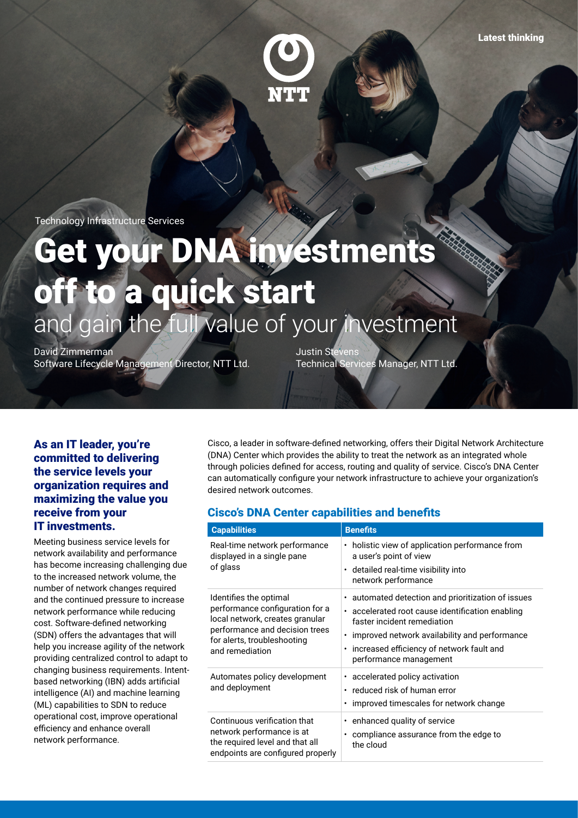

Technology Infrastructure Services

# Get your DNA investments off to a quick start and gain the full value of your investment

David Zimmerman Software Lifecycle Management Director, NTT Ltd.

Justin Stevens Technical Services Manager, NTT Ltd.

### As an IT leader, you're committed to delivering the service levels your organization requires and maximizing the value you receive from your IT investments.

Meeting business service levels for network availability and performance has become increasing challenging due to the increased network volume, the number of network changes required and the continued pressure to increase network performance while reducing cost. Software-defined networking (SDN) offers the advantages that will help you increase agility of the network providing centralized control to adapt to changing business requirements. Intentbased networking (IBN) adds artificial intelligence (AI) and machine learning (ML) capabilities to SDN to reduce operational cost, improve operational efficiency and enhance overall network performance.

Cisco, a leader in software-defined networking, offers their Digital Network Architecture (DNA) Center which provides the ability to treat the network as an integrated whole through policies defined for access, routing and quality of service. Cisco's DNA Center can automatically configure your network infrastructure to achieve your organization's desired network outcomes.

### Cisco's DNA Center capabilities and benefits

| <b>Capabilities</b>                                                                                                                                                              | <b>Benefits</b>                                                                                                                                                                                                                                                                       |
|----------------------------------------------------------------------------------------------------------------------------------------------------------------------------------|---------------------------------------------------------------------------------------------------------------------------------------------------------------------------------------------------------------------------------------------------------------------------------------|
| Real-time network performance<br>displayed in a single pane<br>of glass                                                                                                          | • holistic view of application performance from<br>a user's point of view<br>· detailed real-time visibility into<br>network performance                                                                                                                                              |
| Identifies the optimal<br>performance configuration for a<br>local network, creates granular<br>performance and decision trees<br>for alerts, troubleshooting<br>and remediation | automated detection and prioritization of issues<br>٠<br>accelerated root cause identification enabling<br>٠<br>faster incident remediation<br>improved network availability and performance<br>٠<br>increased efficiency of network fault and<br>$\bullet$<br>performance management |
| Automates policy development<br>and deployment                                                                                                                                   | • accelerated policy activation<br>reduced risk of human error<br>٠<br>improved timescales for network change<br>٠                                                                                                                                                                    |
| Continuous verification that<br>network performance is at<br>the required level and that all<br>endpoints are configured properly                                                | enhanced quality of service<br>٠<br>compliance assurance from the edge to<br>$\bullet$<br>the cloud                                                                                                                                                                                   |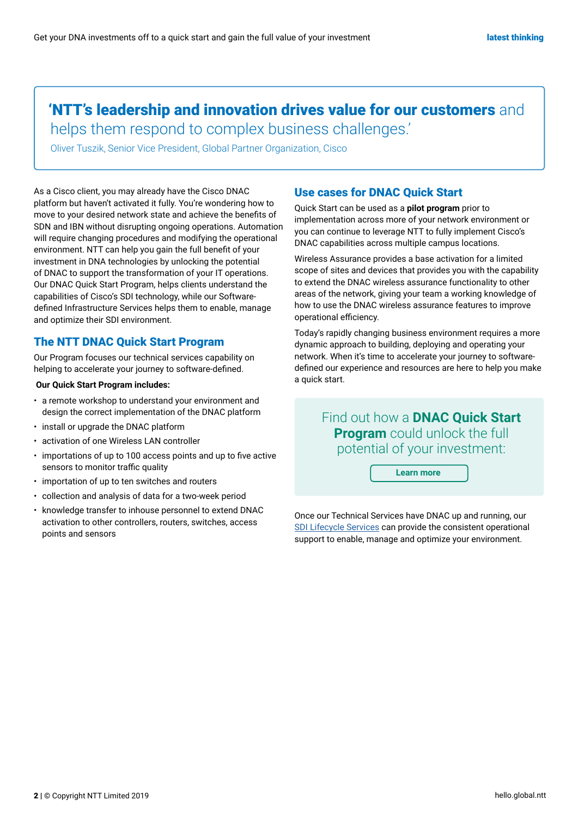## 'NTT's leadership and innovation drives value for our customers and

helps them respond to complex business challenges.'

Oliver Tuszik, Senior Vice President, Global Partner Organization, Cisco

As a Cisco client, you may already have the Cisco DNAC platform but haven't activated it fully. You're wondering how to move to your desired network state and achieve the benefits of SDN and IBN without disrupting ongoing operations. Automation will require changing procedures and modifying the operational environment. NTT can help you gain the full benefit of your investment in DNA technologies by unlocking the potential of DNAC to support the transformation of your IT operations. Our DNAC Quick Start Program, helps clients understand the capabilities of Cisco's SDI technology, while our Softwaredefined Infrastructure Services helps them to enable, manage and optimize their SDI environment.

### The NTT DNAC Quick Start Program

Our Program focuses our technical services capability on helping to accelerate your journey to software-defined.

#### **Our Quick Start Program includes:**

- a remote workshop to understand your environment and design the correct implementation of the DNAC platform
- install or upgrade the DNAC platform
- activation of one Wireless LAN controller
- importations of up to 100 access points and up to five active sensors to monitor traffic quality
- importation of up to ten switches and routers
- collection and analysis of data for a two-week period
- knowledge transfer to inhouse personnel to extend DNAC activation to other controllers, routers, switches, access points and sensors

### Use cases for DNAC Quick Start

Quick Start can be used as a **pilot program** prior to implementation across more of your network environment or you can continue to leverage NTT to fully implement Cisco's DNAC capabilities across multiple campus locations.

Wireless Assurance provides a base activation for a limited scope of sites and devices that provides you with the capability to extend the DNAC wireless assurance functionality to other areas of the network, giving your team a working knowledge of how to use the DNAC wireless assurance features to improve operational efficiency.

Today's rapidly changing business environment requires a more dynamic approach to building, deploying and operating your network. When it's time to accelerate your journey to softwaredefined our experience and resources are here to help you make a quick start.

> Find out how a **DNAC Quick Start Program** could unlock the full potential of your investment:

> > **Learn more**

Once our Technical Services have DNAC up and running, our [SDI Lifecycle Services](https://hello.global.ntt/en-us/expertise/software-subscription-services/software-defined-infrastructure-lifecycle-services/) can provide the consistent operational support to enable, manage and optimize your environment.